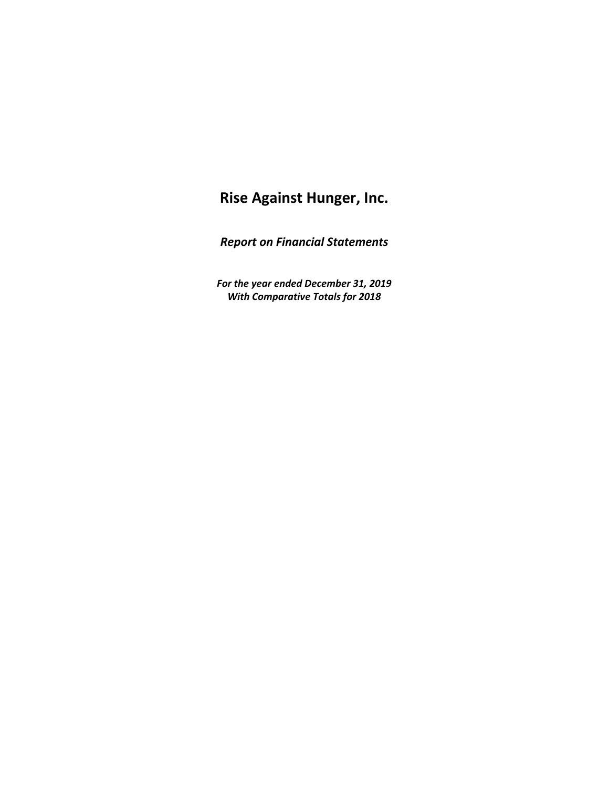*Report on Financial Statements*

*For the year ended December 31, 2019 With Comparative Totals for 2018*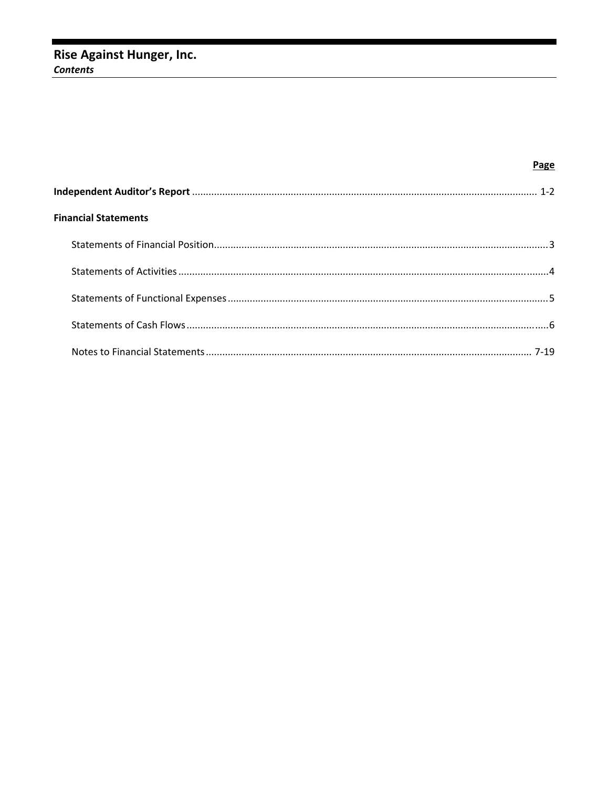# Rise Against Hunger, Inc. **Contents**

|                             | Page |
|-----------------------------|------|
|                             |      |
| <b>Financial Statements</b> |      |
|                             |      |
|                             |      |
|                             |      |
|                             |      |
|                             |      |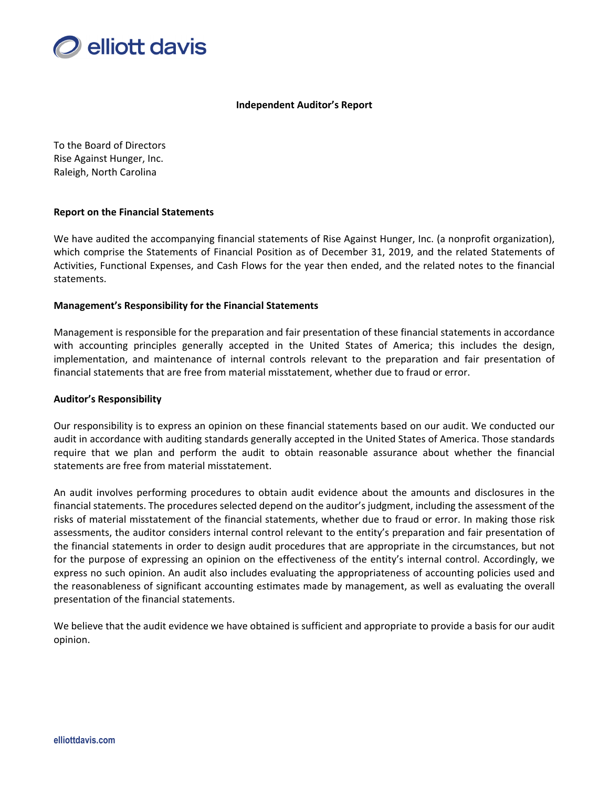

#### **Independent Auditor's Report**

To the Board of Directors Rise Against Hunger, Inc. Raleigh, North Carolina

#### **Report on the Financial Statements**

We have audited the accompanying financial statements of Rise Against Hunger, Inc. (a nonprofit organization), which comprise the Statements of Financial Position as of December 31, 2019, and the related Statements of Activities, Functional Expenses, and Cash Flows for the year then ended, and the related notes to the financial statements.

#### **Management's Responsibility for the Financial Statements**

Management is responsible for the preparation and fair presentation of these financial statements in accordance with accounting principles generally accepted in the United States of America; this includes the design, implementation, and maintenance of internal controls relevant to the preparation and fair presentation of financial statements that are free from material misstatement, whether due to fraud or error.

#### **Auditor's Responsibility**

Our responsibility is to express an opinion on these financial statements based on our audit. We conducted our audit in accordance with auditing standards generally accepted in the United States of America. Those standards require that we plan and perform the audit to obtain reasonable assurance about whether the financial statements are free from material misstatement.

An audit involves performing procedures to obtain audit evidence about the amounts and disclosures in the financial statements. The procedures selected depend on the auditor's judgment, including the assessment of the risks of material misstatement of the financial statements, whether due to fraud or error. In making those risk assessments, the auditor considers internal control relevant to the entity's preparation and fair presentation of the financial statements in order to design audit procedures that are appropriate in the circumstances, but not for the purpose of expressing an opinion on the effectiveness of the entity's internal control. Accordingly, we express no such opinion. An audit also includes evaluating the appropriateness of accounting policies used and the reasonableness of significant accounting estimates made by management, as well as evaluating the overall presentation of the financial statements.

We believe that the audit evidence we have obtained is sufficient and appropriate to provide a basis for our audit opinion.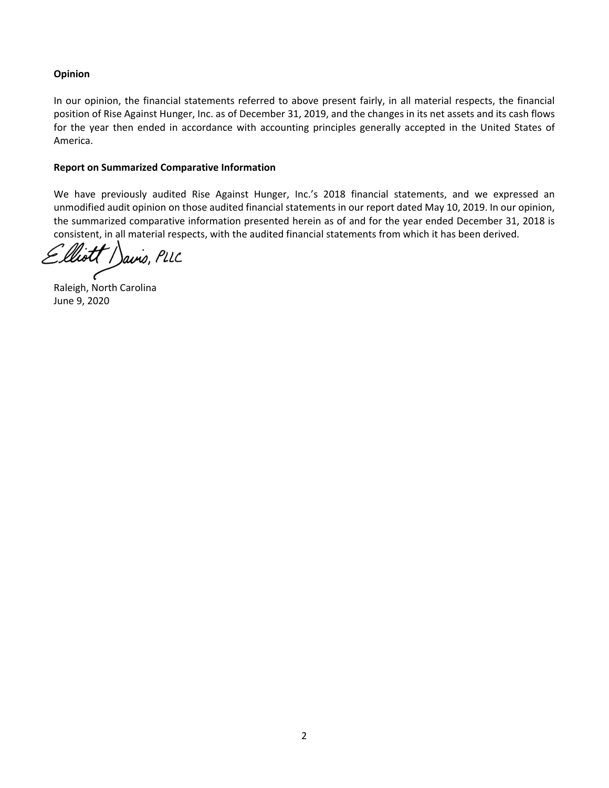# **Opinion**

In our opinion, the financial statements referred to above present fairly, in all material respects, the financial position of Rise Against Hunger, Inc. as of December 31, 2019, and the changes in its net assets and its cash flows for the year then ended in accordance with accounting principles generally accepted in the United States of America.

#### **Report on Summarized Comparative Information**

We have previously audited Rise Against Hunger, Inc.'s 2018 financial statements, and we expressed an unmodified audit opinion on those audited financial statements in our report dated May 10, 2019. In our opinion, the summarized comparative information presented herein as of and for the year ended December 31, 2018 is consistent, in all material respects, with the audited financial statements from which it has been derived.

Javis, PLLC

Raleigh, North Carolina June 9, 2020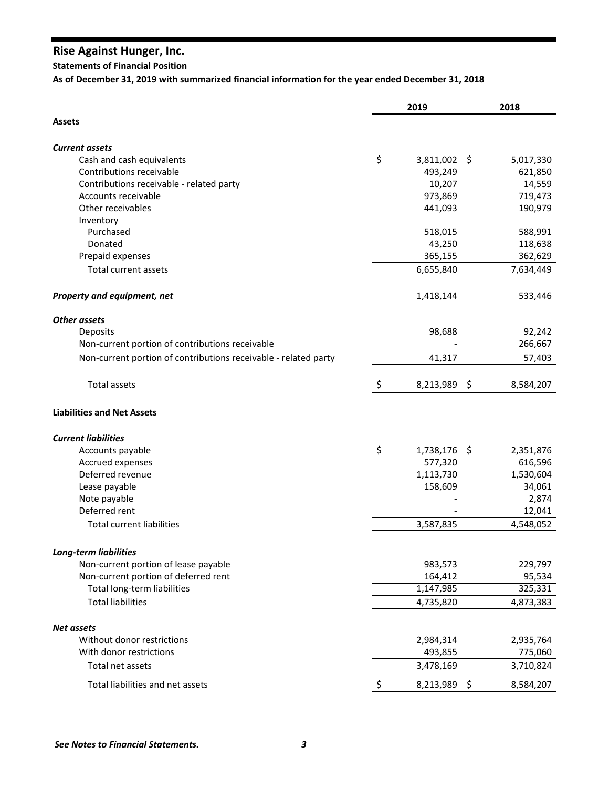#### **Statements of Financial Position**

**As of December 31, 2019 with summarized financial information for the year ended December 31, 2018**

|                                                                 | 2019                 | 2018                 |  |
|-----------------------------------------------------------------|----------------------|----------------------|--|
| <b>Assets</b>                                                   |                      |                      |  |
| <b>Current assets</b>                                           |                      |                      |  |
| Cash and cash equivalents                                       | \$<br>3,811,002 \$   | 5,017,330            |  |
| Contributions receivable                                        | 493,249              | 621,850              |  |
| Contributions receivable - related party                        | 10,207               | 14,559               |  |
| Accounts receivable                                             | 973,869              | 719,473              |  |
| Other receivables                                               | 441,093              | 190,979              |  |
| Inventory                                                       |                      |                      |  |
| Purchased                                                       | 518,015              | 588,991              |  |
| Donated                                                         | 43,250               | 118,638              |  |
| Prepaid expenses                                                | 365,155              | 362,629              |  |
| Total current assets                                            | 6,655,840            | 7,634,449            |  |
| Property and equipment, net                                     | 1,418,144            | 533,446              |  |
| Other assets                                                    |                      |                      |  |
| Deposits                                                        | 98,688               | 92,242               |  |
| Non-current portion of contributions receivable                 |                      | 266,667              |  |
| Non-current portion of contributions receivable - related party | 41,317               | 57,403               |  |
| <b>Total assets</b>                                             | 8,213,989 \$         | 8,584,207            |  |
| <b>Liabilities and Net Assets</b>                               |                      |                      |  |
| <b>Current liabilities</b>                                      |                      |                      |  |
| Accounts payable                                                | \$<br>1,738,176 \$   | 2,351,876            |  |
| Accrued expenses                                                | 577,320              | 616,596              |  |
| Deferred revenue                                                | 1,113,730            | 1,530,604            |  |
| Lease payable                                                   | 158,609              | 34,061               |  |
| Note payable                                                    |                      | 2,874                |  |
| Deferred rent                                                   |                      | 12,041               |  |
| <b>Total current liabilities</b>                                | 3,587,835            | 4,548,052            |  |
| <b>Long-term liabilities</b>                                    |                      |                      |  |
| Non-current portion of lease payable                            | 983,573              | 229,797              |  |
| Non-current portion of deferred rent                            | 164,412              | 95,534               |  |
| Total long-term liabilities                                     | 1,147,985            | 325,331              |  |
| <b>Total liabilities</b>                                        | 4,735,820            | 4,873,383            |  |
|                                                                 |                      |                      |  |
| <b>Net assets</b><br>Without donor restrictions                 |                      |                      |  |
| With donor restrictions                                         | 2,984,314            | 2,935,764            |  |
| Total net assets                                                | 493,855<br>3,478,169 | 775,060<br>3,710,824 |  |
| Total liabilities and net assets                                | 8,213,989 \$         | 8,584,207            |  |
|                                                                 |                      |                      |  |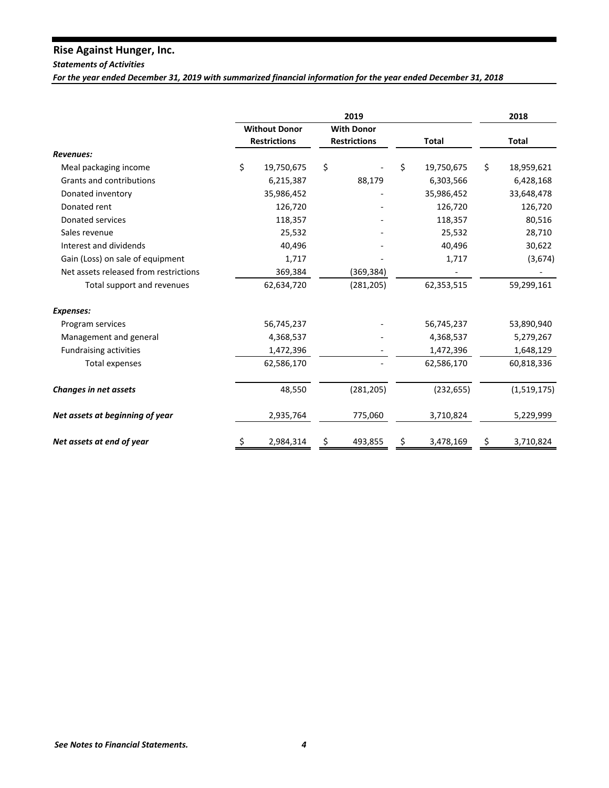*Statements of Activities*

For the year ended December 31, 2019 with summarized financial information for the year ended December 31, 2018

|                                       |                      |                                                          | 2019       |                  | 2018             |
|---------------------------------------|----------------------|----------------------------------------------------------|------------|------------------|------------------|
|                                       | <b>Without Donor</b> | <b>With Donor</b><br><b>Restrictions</b><br><b>Total</b> |            |                  |                  |
|                                       | <b>Restrictions</b>  |                                                          |            | Total            |                  |
| Revenues:                             |                      |                                                          |            |                  |                  |
| Meal packaging income                 | \$<br>19,750,675     | \$                                                       |            | \$<br>19,750,675 | \$<br>18,959,621 |
| Grants and contributions              | 6,215,387            |                                                          | 88,179     | 6,303,566        | 6,428,168        |
| Donated inventory                     | 35,986,452           |                                                          |            | 35,986,452       | 33,648,478       |
| Donated rent                          | 126,720              |                                                          |            | 126,720          | 126,720          |
| Donated services                      | 118,357              |                                                          |            | 118,357          | 80,516           |
| Sales revenue                         | 25,532               |                                                          |            | 25,532           | 28,710           |
| Interest and dividends                | 40,496               |                                                          |            | 40,496           | 30,622           |
| Gain (Loss) on sale of equipment      | 1,717                |                                                          |            | 1,717            | (3,674)          |
| Net assets released from restrictions | 369,384              |                                                          | (369, 384) |                  |                  |
| Total support and revenues            | 62,634,720           |                                                          | (281, 205) | 62,353,515       | 59,299,161       |
| <b>Expenses:</b>                      |                      |                                                          |            |                  |                  |
| Program services                      | 56,745,237           |                                                          |            | 56,745,237       | 53,890,940       |
| Management and general                | 4,368,537            |                                                          |            | 4,368,537        | 5,279,267        |
| <b>Fundraising activities</b>         | 1,472,396            |                                                          |            | 1,472,396        | 1,648,129        |
| Total expenses                        | 62,586,170           |                                                          |            | 62,586,170       | 60,818,336       |
| Changes in net assets                 | 48,550               |                                                          | (281, 205) | (232, 655)       | (1,519,175)      |
| Net assets at beginning of year       | 2,935,764            |                                                          | 775,060    | 3,710,824        | 5,229,999        |
| Net assets at end of year             | \$<br>2,984,314      | \$                                                       | 493,855    | \$<br>3,478,169  | \$<br>3,710,824  |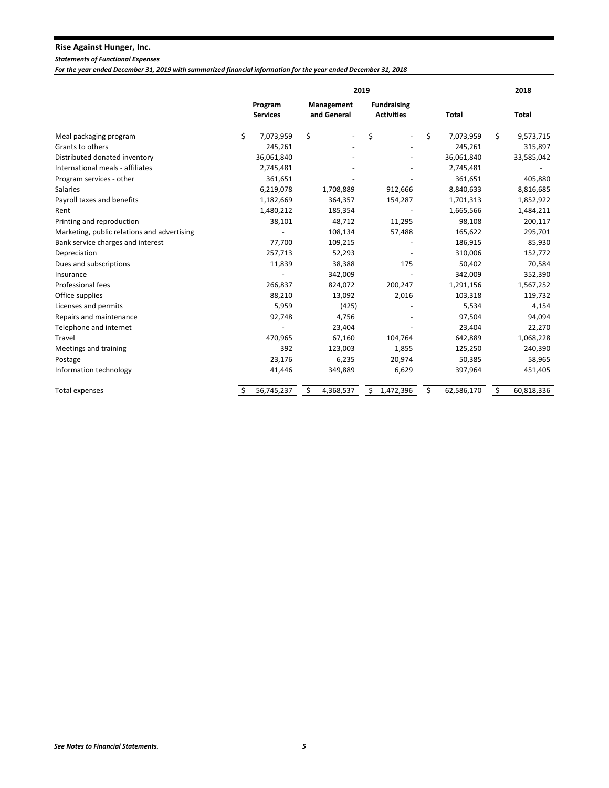#### *Statements of Functional Expenses*

For the year ended December 31, 2019 with summarized financial information for the year ended December 31, 2018

418681

|                                             | 2019                       |                                |                                         |                 |                 |  |
|---------------------------------------------|----------------------------|--------------------------------|-----------------------------------------|-----------------|-----------------|--|
|                                             | Program<br><b>Services</b> | Management<br>and General      | <b>Fundraising</b><br><b>Activities</b> | <b>Total</b>    | Total           |  |
| Meal packaging program                      | \$<br>7,073,959            | \$<br>$\overline{\phantom{a}}$ | \$                                      | \$<br>7,073,959 | \$<br>9,573,715 |  |
| Grants to others                            | 245,261                    |                                |                                         | 245,261         | 315,897         |  |
| Distributed donated inventory               | 36,061,840                 |                                |                                         | 36,061,840      | 33,585,042      |  |
| International meals - affiliates            | 2,745,481                  |                                |                                         | 2,745,481       |                 |  |
| Program services - other                    | 361,651                    |                                |                                         | 361,651         | 405,880         |  |
| <b>Salaries</b>                             | 6,219,078                  | 1,708,889                      | 912,666                                 | 8,840,633       | 8,816,685       |  |
| Payroll taxes and benefits                  | 1,182,669                  | 364,357                        | 154,287                                 | 1,701,313       | 1,852,922       |  |
| Rent                                        | 1,480,212                  | 185,354                        |                                         | 1,665,566       | 1,484,211       |  |
| Printing and reproduction                   | 38,101                     | 48,712                         | 11,295                                  | 98,108          | 200,117         |  |
| Marketing, public relations and advertising |                            | 108,134                        | 57,488                                  | 165,622         | 295,701         |  |
| Bank service charges and interest           | 77,700                     | 109,215                        |                                         | 186,915         | 85,930          |  |
| Depreciation                                | 257,713                    | 52,293                         |                                         | 310,006         | 152,772         |  |
| Dues and subscriptions                      | 11,839                     | 38,388                         | 175                                     | 50,402          | 70,584          |  |
| Insurance                                   |                            | 342,009                        |                                         | 342,009         | 352,390         |  |
| Professional fees                           | 266,837                    | 824,072                        | 200,247                                 | 1,291,156       | 1,567,252       |  |
| Office supplies                             | 88,210                     | 13,092                         | 2,016                                   | 103,318         | 119,732         |  |
| Licenses and permits                        | 5,959                      | (425)                          |                                         | 5,534           | 4,154           |  |
| Repairs and maintenance                     | 92,748                     | 4,756                          |                                         | 97,504          | 94,094          |  |
| Telephone and internet                      |                            | 23,404                         |                                         | 23,404          | 22,270          |  |
| Travel                                      | 470,965                    | 67,160                         | 104,764                                 | 642,889         | 1,068,228       |  |
| Meetings and training                       | 392                        | 123,003                        | 1,855                                   | 125,250         | 240,390         |  |
| Postage                                     | 23,176                     | 6,235                          | 20,974                                  | 50,385          | 58,965          |  |
| Information technology                      | 41,446                     | 349,889                        | 6,629                                   | 397,964         | 451,405         |  |
| Total expenses                              | 56,745,237                 | 4,368,537                      | 1,472,396<br>\$                         | 62,586,170      | 60,818,336      |  |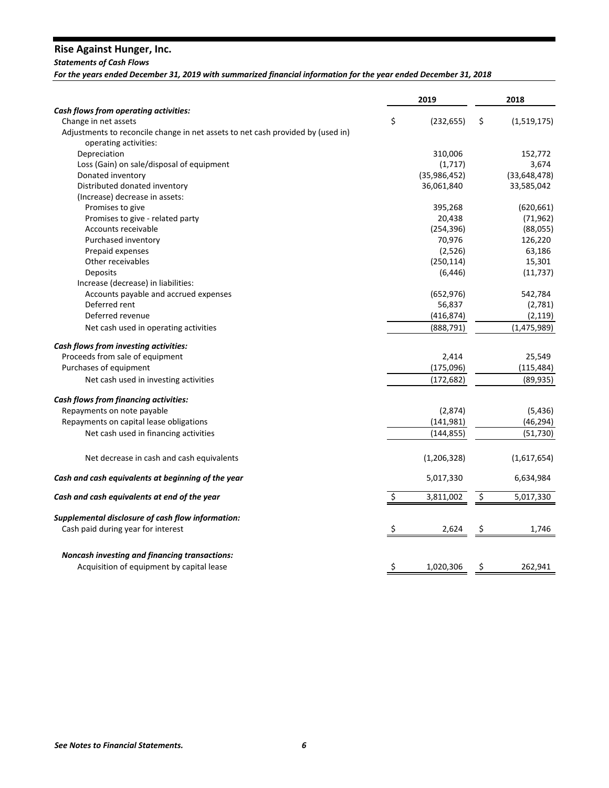#### *Statements of Cash Flows*

For the years ended December 31, 2019 with summarized financial information for the year ended December 31, 2018

|                                                                                 | 2019 |               | 2018 |                |
|---------------------------------------------------------------------------------|------|---------------|------|----------------|
| Cash flows from operating activities:                                           |      |               |      |                |
| Change in net assets                                                            | \$   | (232, 655)    | \$   | (1,519,175)    |
| Adjustments to reconcile change in net assets to net cash provided by (used in) |      |               |      |                |
| operating activities:                                                           |      |               |      |                |
| Depreciation                                                                    |      | 310,006       |      | 152,772        |
| Loss (Gain) on sale/disposal of equipment                                       |      | (1,717)       |      | 3,674          |
| Donated inventory                                                               |      | (35,986,452)  |      | (33, 648, 478) |
| Distributed donated inventory                                                   |      | 36,061,840    |      | 33,585,042     |
| (Increase) decrease in assets:                                                  |      |               |      |                |
| Promises to give                                                                |      | 395,268       |      | (620, 661)     |
| Promises to give - related party                                                |      | 20,438        |      | (71, 962)      |
| Accounts receivable                                                             |      | (254, 396)    |      | (88,055)       |
| Purchased inventory                                                             |      | 70,976        |      | 126,220        |
| Prepaid expenses                                                                |      | (2,526)       |      | 63,186         |
| Other receivables                                                               |      | (250, 114)    |      | 15,301         |
| Deposits                                                                        |      | (6, 446)      |      | (11, 737)      |
| Increase (decrease) in liabilities:                                             |      |               |      |                |
| Accounts payable and accrued expenses                                           |      | (652, 976)    |      | 542,784        |
| Deferred rent                                                                   |      | 56,837        |      | (2,781)        |
| Deferred revenue                                                                |      | (416, 874)    |      | (2, 119)       |
| Net cash used in operating activities                                           |      | (888, 791)    |      | (1, 475, 989)  |
| Cash flows from investing activities:                                           |      |               |      |                |
| Proceeds from sale of equipment                                                 |      | 2,414         |      | 25,549         |
| Purchases of equipment                                                          |      | (175,096)     |      | (115, 484)     |
| Net cash used in investing activities                                           |      | (172, 682)    |      | (89, 935)      |
| Cash flows from financing activities:                                           |      |               |      |                |
| Repayments on note payable                                                      |      | (2,874)       |      | (5, 436)       |
| Repayments on capital lease obligations                                         |      | (141, 981)    |      | (46, 294)      |
| Net cash used in financing activities                                           |      | (144, 855)    |      | (51, 730)      |
| Net decrease in cash and cash equivalents                                       |      | (1, 206, 328) |      | (1,617,654)    |
| Cash and cash equivalents at beginning of the year                              |      | 5,017,330     |      | 6,634,984      |
| Cash and cash equivalents at end of the year                                    | Ś    | 3,811,002     | \$   | 5,017,330      |
| Supplemental disclosure of cash flow information:                               |      |               |      |                |
| Cash paid during year for interest                                              |      | 2,624         | Ş    | 1,746          |
| Noncash investing and financing transactions:                                   |      |               |      |                |
| Acquisition of equipment by capital lease                                       | \$   | 1,020,306     | Ş    | 262,941        |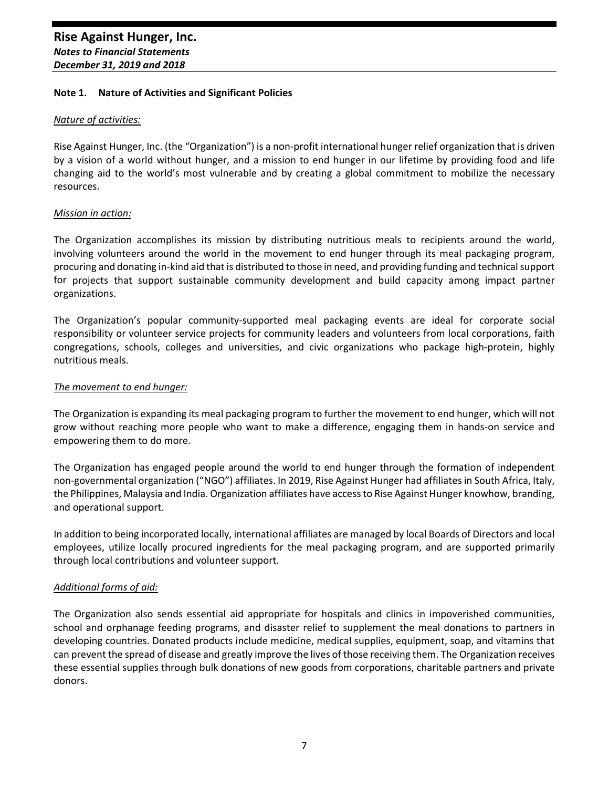#### *Nature of activities:*

Rise Against Hunger, Inc. (the "Organization") is a non‐profit international hunger relief organization that is driven by a vision of a world without hunger, and a mission to end hunger in our lifetime by providing food and life changing aid to the world's most vulnerable and by creating a global commitment to mobilize the necessary resources.

#### *Mission in action:*

The Organization accomplishes its mission by distributing nutritious meals to recipients around the world, involving volunteers around the world in the movement to end hunger through its meal packaging program, procuring and donating in‐kind aid that is distributed to those in need, and providing funding and technicalsupport for projects that support sustainable community development and build capacity among impact partner organizations.

The Organization's popular community‐supported meal packaging events are ideal for corporate social responsibility or volunteer service projects for community leaders and volunteers from local corporations, faith congregations, schools, colleges and universities, and civic organizations who package high‐protein, highly nutritious meals.

# *The movement to end hunger:*

The Organization is expanding its meal packaging program to further the movement to end hunger, which will not grow without reaching more people who want to make a difference, engaging them in hands‐on service and empowering them to do more.

The Organization has engaged people around the world to end hunger through the formation of independent non-governmental organization ("NGO") affiliates. In 2019, Rise Against Hunger had affiliates in South Africa, Italy, the Philippines, Malaysia and India. Organization affiliates have accessto Rise Against Hunger knowhow, branding, and operational support.

In addition to being incorporated locally, international affiliates are managed by local Boards of Directors and local employees, utilize locally procured ingredients for the meal packaging program, and are supported primarily through local contributions and volunteer support.

#### *Additional forms of aid:*

The Organization also sends essential aid appropriate for hospitals and clinics in impoverished communities, school and orphanage feeding programs, and disaster relief to supplement the meal donations to partners in developing countries. Donated products include medicine, medical supplies, equipment, soap, and vitamins that can prevent the spread of disease and greatly improve the lives of those receiving them. The Organization receives these essential supplies through bulk donations of new goods from corporations, charitable partners and private donors.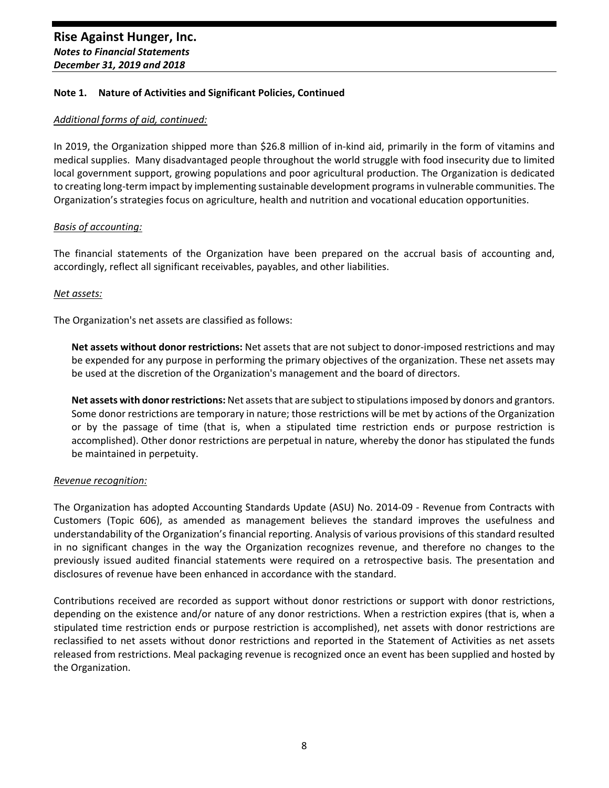#### *Additional forms of aid, continued:*

In 2019, the Organization shipped more than \$26.8 million of in‐kind aid, primarily in the form of vitamins and medical supplies. Many disadvantaged people throughout the world struggle with food insecurity due to limited local government support, growing populations and poor agricultural production. The Organization is dedicated to creating long-term impact by implementing sustainable development programs in vulnerable communities. The Organization's strategies focus on agriculture, health and nutrition and vocational education opportunities.

# *Basis of accounting:*

The financial statements of the Organization have been prepared on the accrual basis of accounting and, accordingly, reflect all significant receivables, payables, and other liabilities.

#### *Net assets:*

The Organization's net assets are classified as follows:

**Net assets without donor restrictions:** Net assets that are not subject to donor‐imposed restrictions and may be expended for any purpose in performing the primary objectives of the organization. These net assets may be used at the discretion of the Organization's management and the board of directors.

Net assets with donor restrictions: Net assets that are subject to stipulations imposed by donors and grantors. Some donor restrictions are temporary in nature; those restrictions will be met by actions of the Organization or by the passage of time (that is, when a stipulated time restriction ends or purpose restriction is accomplished). Other donor restrictions are perpetual in nature, whereby the donor has stipulated the funds be maintained in perpetuity.

#### *Revenue recognition:*

The Organization has adopted Accounting Standards Update (ASU) No. 2014‐09 ‐ Revenue from Contracts with Customers (Topic 606), as amended as management believes the standard improves the usefulness and understandability of the Organization's financial reporting. Analysis of various provisions of this standard resulted in no significant changes in the way the Organization recognizes revenue, and therefore no changes to the previously issued audited financial statements were required on a retrospective basis. The presentation and disclosures of revenue have been enhanced in accordance with the standard.

Contributions received are recorded as support without donor restrictions or support with donor restrictions, depending on the existence and/or nature of any donor restrictions. When a restriction expires (that is, when a stipulated time restriction ends or purpose restriction is accomplished), net assets with donor restrictions are reclassified to net assets without donor restrictions and reported in the Statement of Activities as net assets released from restrictions. Meal packaging revenue is recognized once an event has been supplied and hosted by the Organization.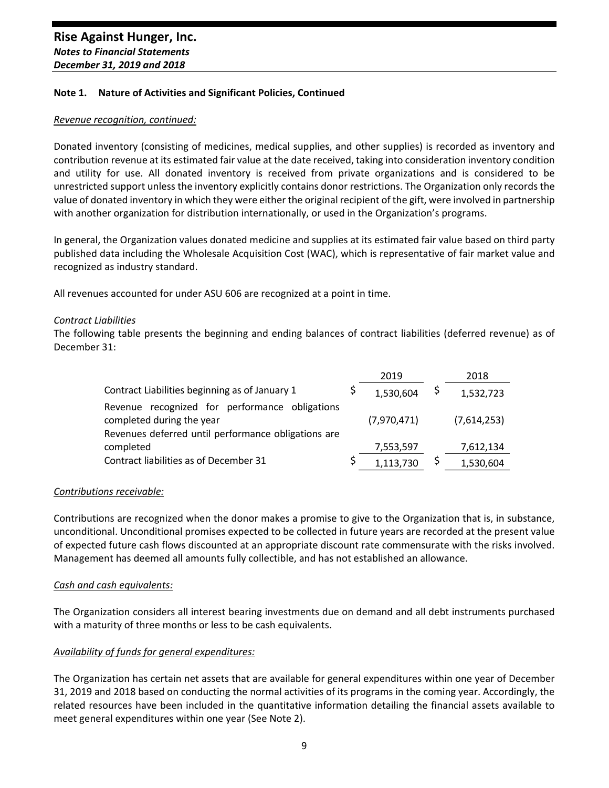#### *Revenue recognition, continued:*

Donated inventory (consisting of medicines, medical supplies, and other supplies) is recorded as inventory and contribution revenue at its estimated fair value at the date received, taking into consideration inventory condition and utility for use. All donated inventory is received from private organizations and is considered to be unrestricted support unless the inventory explicitly contains donor restrictions. The Organization only records the value of donated inventory in which they were either the original recipient of the gift, were involved in partnership with another organization for distribution internationally, or used in the Organization's programs.

In general, the Organization values donated medicine and supplies at its estimated fair value based on third party published data including the Wholesale Acquisition Cost (WAC), which is representative of fair market value and recognized as industry standard.

All revenues accounted for under ASU 606 are recognized at a point in time.

#### *Contract Liabilities*

The following table presents the beginning and ending balances of contract liabilities (deferred revenue) as of December 31:

|                                                     | 2019        | 2018        |
|-----------------------------------------------------|-------------|-------------|
| Contract Liabilities beginning as of January 1      | 1,530,604   | 1,532,723   |
| Revenue recognized for performance obligations      |             |             |
| completed during the year                           | (7,970,471) | (7,614,253) |
| Revenues deferred until performance obligations are |             |             |
| completed                                           | 7,553,597   | 7,612,134   |
| Contract liabilities as of December 31              | 1,113,730   | 1,530,604   |

#### *Contributions receivable:*

Contributions are recognized when the donor makes a promise to give to the Organization that is, in substance, unconditional. Unconditional promises expected to be collected in future years are recorded at the present value of expected future cash flows discounted at an appropriate discount rate commensurate with the risks involved. Management has deemed all amounts fully collectible, and has not established an allowance.

#### *Cash and cash equivalents:*

The Organization considers all interest bearing investments due on demand and all debt instruments purchased with a maturity of three months or less to be cash equivalents.

#### *Availability of funds for general expenditures:*

The Organization has certain net assets that are available for general expenditures within one year of December 31, 2019 and 2018 based on conducting the normal activities of its programs in the coming year. Accordingly, the related resources have been included in the quantitative information detailing the financial assets available to meet general expenditures within one year (See Note 2).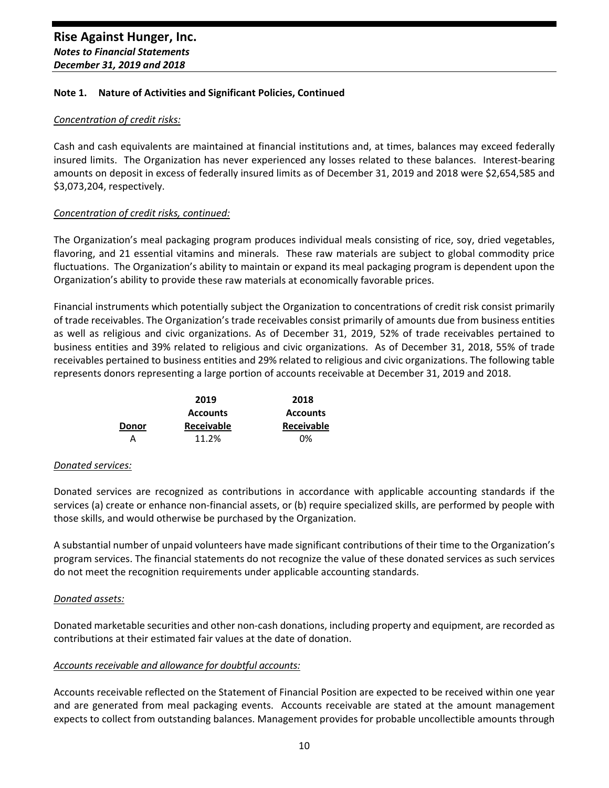#### *Concentration of credit risks:*

Cash and cash equivalents are maintained at financial institutions and, at times, balances may exceed federally insured limits. The Organization has never experienced any losses related to these balances. Interest‐bearing amounts on deposit in excess of federally insured limits as of December 31, 2019 and 2018 were \$2,654,585 and \$3,073,204, respectively.

# *Concentration of credit risks, continued:*

The Organization's meal packaging program produces individual meals consisting of rice, soy, dried vegetables, flavoring, and 21 essential vitamins and minerals. These raw materials are subject to global commodity price fluctuations. The Organization's ability to maintain or expand its meal packaging program is dependent upon the Organization's ability to provide these raw materials at economically favorable prices.

Financial instruments which potentially subject the Organization to concentrations of credit risk consist primarily of trade receivables. The Organization's trade receivables consist primarily of amounts due from business entities as well as religious and civic organizations. As of December 31, 2019, 52% of trade receivables pertained to business entities and 39% related to religious and civic organizations. As of December 31, 2018, 55% of trade receivables pertained to business entities and 29% related to religious and civic organizations. The following table represents donors representing a large portion of accounts receivable at December 31, 2019 and 2018.

|              | 2019              | 2018              |
|--------------|-------------------|-------------------|
|              | <b>Accounts</b>   | <b>Accounts</b>   |
| <b>Donor</b> | <b>Receivable</b> | <b>Receivable</b> |
| А            | 11.2%             | በ%                |

#### *Donated services:*

Donated services are recognized as contributions in accordance with applicable accounting standards if the services (a) create or enhance non-financial assets, or (b) require specialized skills, are performed by people with those skills, and would otherwise be purchased by the Organization.

A substantial number of unpaid volunteers have made significant contributions of their time to the Organization's program services. The financial statements do not recognize the value of these donated services as such services do not meet the recognition requirements under applicable accounting standards.

#### *Donated assets:*

Donated marketable securities and other non‐cash donations, including property and equipment, are recorded as contributions at their estimated fair values at the date of donation.

#### *Accounts receivable and allowance for doubtful accounts:*

Accounts receivable reflected on the Statement of Financial Position are expected to be received within one year and are generated from meal packaging events. Accounts receivable are stated at the amount management expects to collect from outstanding balances. Management provides for probable uncollectible amounts through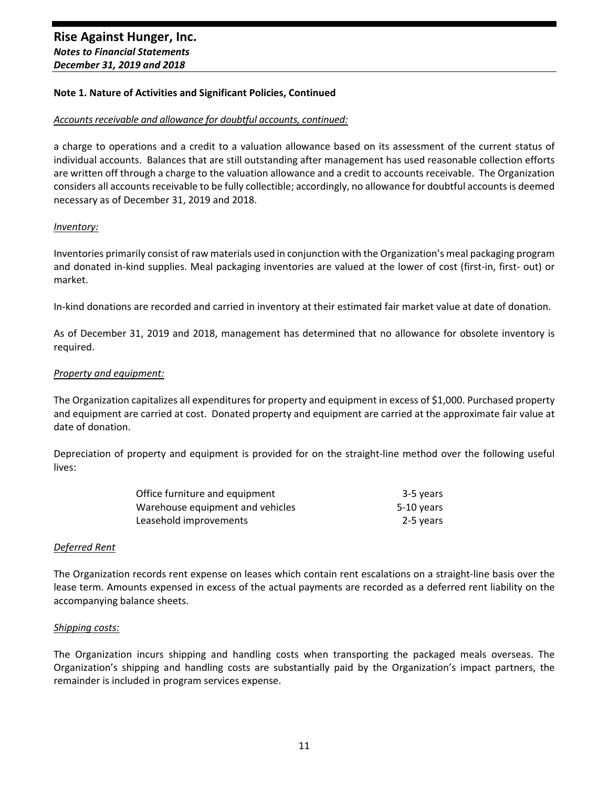#### *Accounts receivable and allowance for doubtful accounts, continued:*

a charge to operations and a credit to a valuation allowance based on its assessment of the current status of individual accounts. Balances that are still outstanding after management has used reasonable collection efforts are written off through a charge to the valuation allowance and a credit to accounts receivable. The Organization considers all accounts receivable to be fully collectible; accordingly, no allowance for doubtful accounts is deemed necessary as of December 31, 2019 and 2018.

#### *Inventory:*

Inventories primarily consist of raw materials used in conjunction with the Organization's meal packaging program and donated in‐kind supplies. Meal packaging inventories are valued at the lower of cost (first‐in, first‐ out) or market.

In-kind donations are recorded and carried in inventory at their estimated fair market value at date of donation.

As of December 31, 2019 and 2018, management has determined that no allowance for obsolete inventory is required.

#### *Property and equipment:*

The Organization capitalizes all expenditures for property and equipment in excess of \$1,000. Purchased property and equipment are carried at cost. Donated property and equipment are carried at the approximate fair value at date of donation.

Depreciation of property and equipment is provided for on the straight‐line method over the following useful lives:

| Office furniture and equipment   | 3-5 years  |
|----------------------------------|------------|
| Warehouse equipment and vehicles | 5-10 years |
| Leasehold improvements           | 2-5 years  |

#### *Deferred Rent*

The Organization records rent expense on leases which contain rent escalations on a straight‐line basis over the lease term. Amounts expensed in excess of the actual payments are recorded as a deferred rent liability on the accompanying balance sheets.

#### *Shipping costs:*

The Organization incurs shipping and handling costs when transporting the packaged meals overseas. The Organization's shipping and handling costs are substantially paid by the Organization's impact partners, the remainder is included in program services expense.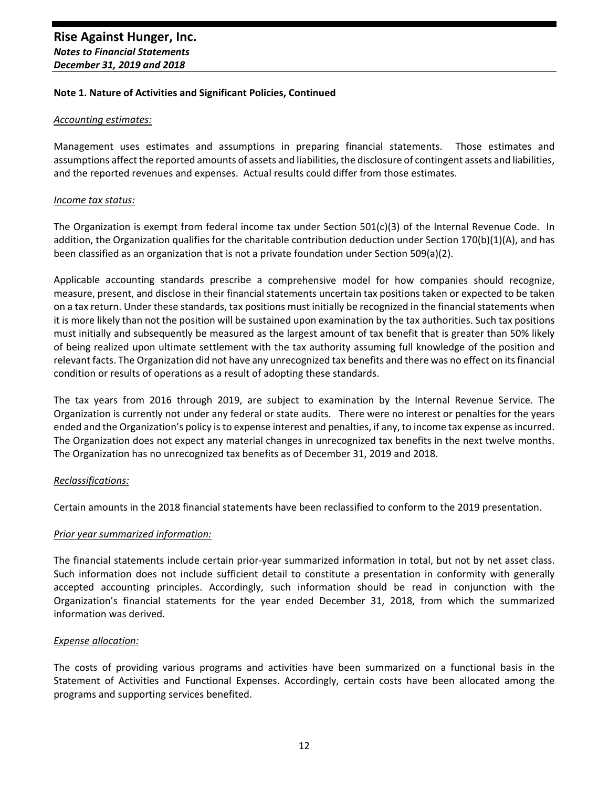#### *Accounting estimates:*

Management uses estimates and assumptions in preparing financial statements. Those estimates and assumptions affect the reported amounts of assets and liabilities, the disclosure of contingent assets and liabilities, and the reported revenues and expenses. Actual results could differ from those estimates.

#### *Income tax status:*

The Organization is exempt from federal income tax under Section 501(c)(3) of the Internal Revenue Code. In addition, the Organization qualifies for the charitable contribution deduction under Section 170(b)(1)(A), and has been classified as an organization that is not a private foundation under Section 509(a)(2).

Applicable accounting standards prescribe a comprehensive model for how companies should recognize, measure, present, and disclose in their financial statements uncertain tax positions taken or expected to be taken on a tax return. Under these standards, tax positions must initially be recognized in the financial statements when it is more likely than not the position will be sustained upon examination by the tax authorities. Such tax positions must initially and subsequently be measured as the largest amount of tax benefit that is greater than 50% likely of being realized upon ultimate settlement with the tax authority assuming full knowledge of the position and relevant facts. The Organization did not have any unrecognized tax benefits and there was no effect on itsfinancial condition or results of operations as a result of adopting these standards.

The tax years from 2016 through 2019, are subject to examination by the Internal Revenue Service. The Organization is currently not under any federal or state audits. There were no interest or penalties for the years ended and the Organization's policy isto expense interest and penalties, if any, to income tax expense asincurred. The Organization does not expect any material changes in unrecognized tax benefits in the next twelve months. The Organization has no unrecognized tax benefits as of December 31, 2019 and 2018.

#### *Reclassifications:*

Certain amounts in the 2018 financial statements have been reclassified to conform to the 2019 presentation.

#### *Prior year summarized information:*

The financial statements include certain prior‐year summarized information in total, but not by net asset class. Such information does not include sufficient detail to constitute a presentation in conformity with generally accepted accounting principles. Accordingly, such information should be read in conjunction with the Organization's financial statements for the year ended December 31, 2018, from which the summarized information was derived.

#### *Expense allocation:*

The costs of providing various programs and activities have been summarized on a functional basis in the Statement of Activities and Functional Expenses. Accordingly, certain costs have been allocated among the programs and supporting services benefited.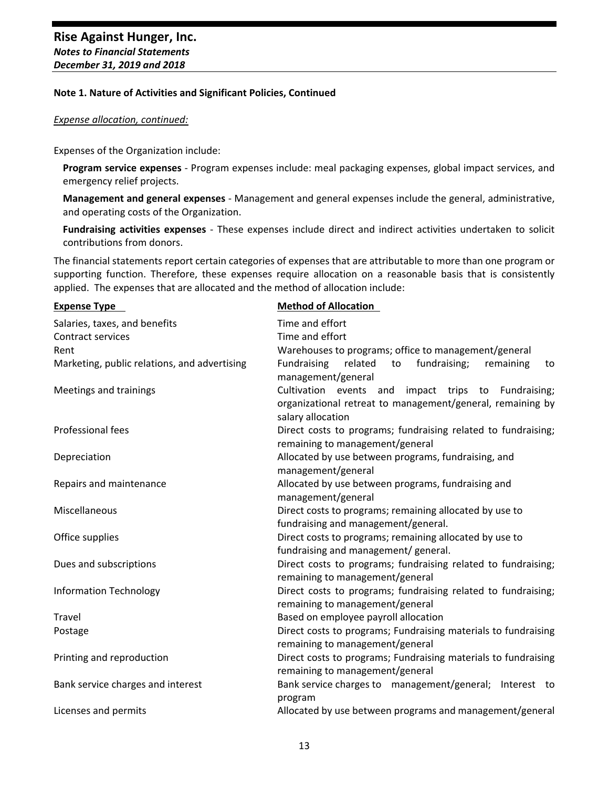#### *Expense allocation, continued:*

Expenses of the Organization include:

**Program service expenses** ‐ Program expenses include: meal packaging expenses, global impact services, and emergency relief projects.

**Management and general expenses** ‐ Management and general expenses include the general, administrative, and operating costs of the Organization.

**Fundraising activities expenses** ‐ These expenses include direct and indirect activities undertaken to solicit contributions from donors.

The financial statements report certain categories of expenses that are attributable to more than one program or supporting function. Therefore, these expenses require allocation on a reasonable basis that is consistently applied. The expenses that are allocated and the method of allocation include:

| <b>Expense Type</b>                          | <b>Method of Allocation</b>                                                                                                            |  |  |  |  |
|----------------------------------------------|----------------------------------------------------------------------------------------------------------------------------------------|--|--|--|--|
| Salaries, taxes, and benefits                | Time and effort                                                                                                                        |  |  |  |  |
| Contract services                            | Time and effort                                                                                                                        |  |  |  |  |
| Rent                                         | Warehouses to programs; office to management/general                                                                                   |  |  |  |  |
| Marketing, public relations, and advertising | Fundraising<br>related<br>fundraising;<br>to<br>remaining<br>to<br>management/general                                                  |  |  |  |  |
| Meetings and trainings                       | Cultivation events and impact trips to Fundraising;<br>organizational retreat to management/general, remaining by<br>salary allocation |  |  |  |  |
| Professional fees                            | Direct costs to programs; fundraising related to fundraising;<br>remaining to management/general                                       |  |  |  |  |
| Depreciation                                 | Allocated by use between programs, fundraising, and<br>management/general                                                              |  |  |  |  |
| Repairs and maintenance                      | Allocated by use between programs, fundraising and<br>management/general                                                               |  |  |  |  |
| Miscellaneous                                | Direct costs to programs; remaining allocated by use to<br>fundraising and management/general.                                         |  |  |  |  |
| Office supplies                              | Direct costs to programs; remaining allocated by use to<br>fundraising and management/ general.                                        |  |  |  |  |
| Dues and subscriptions                       | Direct costs to programs; fundraising related to fundraising;<br>remaining to management/general                                       |  |  |  |  |
| <b>Information Technology</b>                | Direct costs to programs; fundraising related to fundraising;<br>remaining to management/general                                       |  |  |  |  |
| Travel                                       | Based on employee payroll allocation                                                                                                   |  |  |  |  |
| Postage                                      | Direct costs to programs; Fundraising materials to fundraising<br>remaining to management/general                                      |  |  |  |  |
| Printing and reproduction                    | Direct costs to programs; Fundraising materials to fundraising<br>remaining to management/general                                      |  |  |  |  |
| Bank service charges and interest            | Bank service charges to management/general; Interest to<br>program                                                                     |  |  |  |  |
| Licenses and permits                         | Allocated by use between programs and management/general                                                                               |  |  |  |  |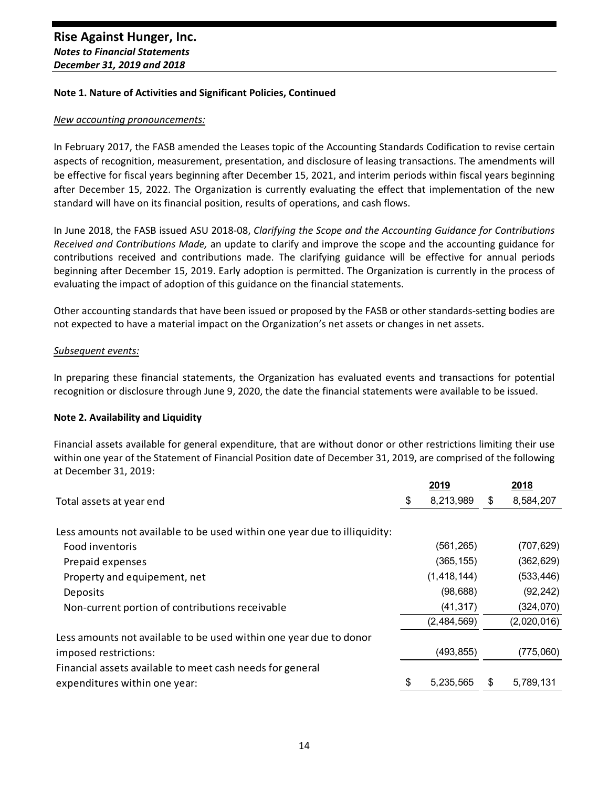#### *New accounting pronouncements:*

In February 2017, the FASB amended the Leases topic of the Accounting Standards Codification to revise certain aspects of recognition, measurement, presentation, and disclosure of leasing transactions. The amendments will be effective for fiscal years beginning after December 15, 2021, and interim periods within fiscal years beginning after December 15, 2022. The Organization is currently evaluating the effect that implementation of the new standard will have on its financial position, results of operations, and cash flows.

In June 2018, the FASB issued ASU 2018‐08, *Clarifying the Scope and the Accounting Guidance for Contributions Received and Contributions Made,* an update to clarify and improve the scope and the accounting guidance for contributions received and contributions made. The clarifying guidance will be effective for annual periods beginning after December 15, 2019. Early adoption is permitted. The Organization is currently in the process of evaluating the impact of adoption of this guidance on the financial statements.

Other accounting standards that have been issued or proposed by the FASB or other standards‐setting bodies are not expected to have a material impact on the Organization's net assets or changes in net assets.

#### *Subsequent events:*

In preparing these financial statements, the Organization has evaluated events and transactions for potential recognition or disclosure through June 9, 2020, the date the financial statements were available to be issued.

#### **Note 2. Availability and Liquidity**

Financial assets available for general expenditure, that are without donor or other restrictions limiting their use within one year of the Statement of Financial Position date of December 31, 2019, are comprised of the following at December 31, 2019:

|                                                                           | 2019            | 2018            |
|---------------------------------------------------------------------------|-----------------|-----------------|
| Total assets at year end                                                  | \$<br>8,213,989 | \$<br>8,584,207 |
|                                                                           |                 |                 |
| Less amounts not available to be used within one year due to illiquidity: |                 |                 |
| Food inventoris                                                           | (561, 265)      | (707, 629)      |
| Prepaid expenses                                                          | (365, 155)      | (362, 629)      |
| Property and equipement, net                                              | (1, 418, 144)   | (533, 446)      |
| Deposits                                                                  | (98, 688)       | (92, 242)       |
| Non-current portion of contributions receivable                           | (41, 317)       | (324, 070)      |
|                                                                           | (2,484,569)     | (2,020,016)     |
| Less amounts not available to be used within one year due to donor        |                 |                 |
| imposed restrictions:                                                     | (493, 855)      | (775,060)       |
| Financial assets available to meet cash needs for general                 |                 |                 |
| expenditures within one year:                                             | \$<br>5,235,565 | \$<br>5,789,131 |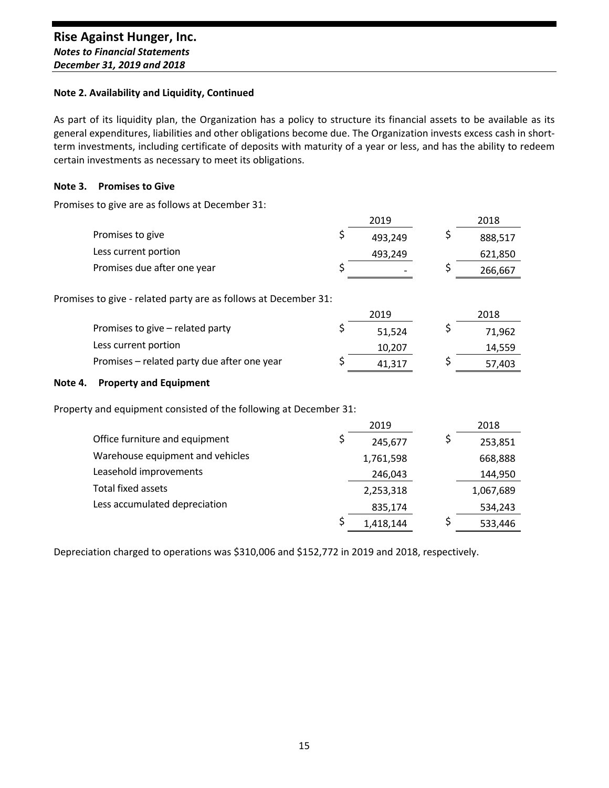#### **Note 2. Availability and Liquidity, Continued**

As part of its liquidity plan, the Organization has a policy to structure its financial assets to be available as its general expenditures, liabilities and other obligations become due. The Organization invests excess cash in shortterm investments, including certificate of deposits with maturity of a year or less, and has the ability to redeem certain investments as necessary to meet its obligations.

### **Note 3. Promises to Give**

Promises to give are as follows at December 31:

|                             | 2019                     | 2018    |
|-----------------------------|--------------------------|---------|
| Promises to give            | 493.249                  | 888,517 |
| Less current portion        | 493.249                  | 621,850 |
| Promises due after one year | $\overline{\phantom{0}}$ | 266,667 |

Promises to give ‐ related party are as follows at December 31:

|                                             | 2019   | 2018   |
|---------------------------------------------|--------|--------|
| Promises to give – related party            | 51.524 | 71,962 |
| Less current portion                        | 10.207 | 14,559 |
| Promises – related party due after one year | 41.317 | 57,403 |

#### **Note 4. Property and Equipment**

Property and equipment consisted of the following at December 31:

|                                  | 2019      | 2018      |
|----------------------------------|-----------|-----------|
| Office furniture and equipment   | 245,677   | 253,851   |
| Warehouse equipment and vehicles | 1,761,598 | 668,888   |
| Leasehold improvements           | 246,043   | 144,950   |
| Total fixed assets               | 2,253,318 | 1,067,689 |
| Less accumulated depreciation    | 835,174   | 534,243   |
|                                  | 1,418,144 | 533,446   |

Depreciation charged to operations was \$310,006 and \$152,772 in 2019 and 2018, respectively.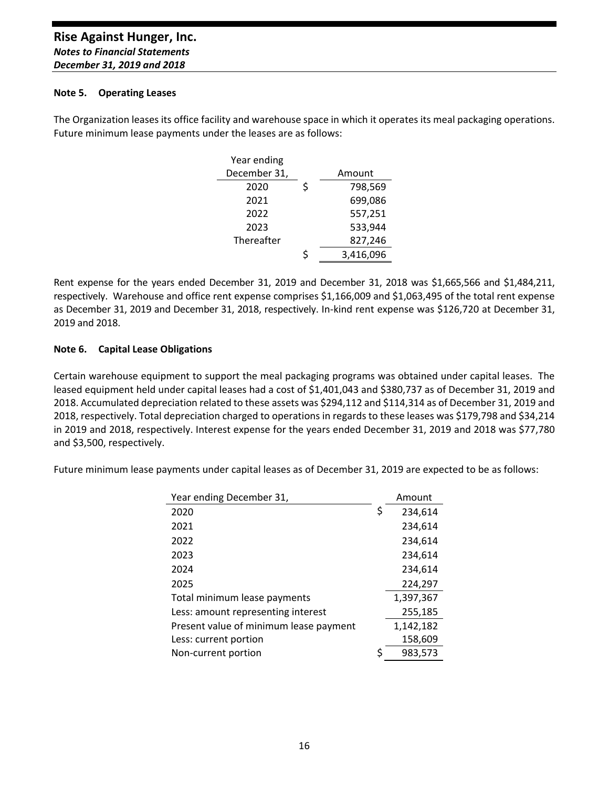#### **Note 5. Operating Leases**

The Organization leases its office facility and warehouse space in which it operates its meal packaging operations. Future minimum lease payments under the leases are as follows:

| Year ending  |   |           |
|--------------|---|-----------|
| December 31, |   | Amount    |
| 2020         | Ś | 798,569   |
| 2021         |   | 699,086   |
| 2022         |   | 557,251   |
| 2023         |   | 533,944   |
| Thereafter   |   | 827,246   |
|              | Ś | 3,416,096 |

Rent expense for the years ended December 31, 2019 and December 31, 2018 was \$1,665,566 and \$1,484,211, respectively. Warehouse and office rent expense comprises \$1,166,009 and \$1,063,495 of the total rent expense as December 31, 2019 and December 31, 2018, respectively. In‐kind rent expense was \$126,720 at December 31, 2019 and 2018.

#### **Note 6. Capital Lease Obligations**

Certain warehouse equipment to support the meal packaging programs was obtained under capital leases. The leased equipment held under capital leases had a cost of \$1,401,043 and \$380,737 as of December 31, 2019 and 2018. Accumulated depreciation related to these assets was \$294,112 and \$114,314 as of December 31, 2019 and 2018, respectively. Total depreciation charged to operations in regards to these leases was \$179,798 and \$34,214 in 2019 and 2018, respectively. Interest expense for the years ended December 31, 2019 and 2018 was \$77,780 and \$3,500, respectively.

Future minimum lease payments under capital leases as of December 31, 2019 are expected to be as follows:

| Year ending December 31,               | Amount        |
|----------------------------------------|---------------|
| 2020                                   | \$<br>234,614 |
| 2021                                   | 234,614       |
| 2022                                   | 234,614       |
| 2023                                   | 234,614       |
| 2024                                   | 234,614       |
| 2025                                   | 224,297       |
| Total minimum lease payments           | 1,397,367     |
| Less: amount representing interest     | 255,185       |
| Present value of minimum lease payment | 1,142,182     |
| Less: current portion                  | 158,609       |
| Non-current portion                    | \$<br>983,573 |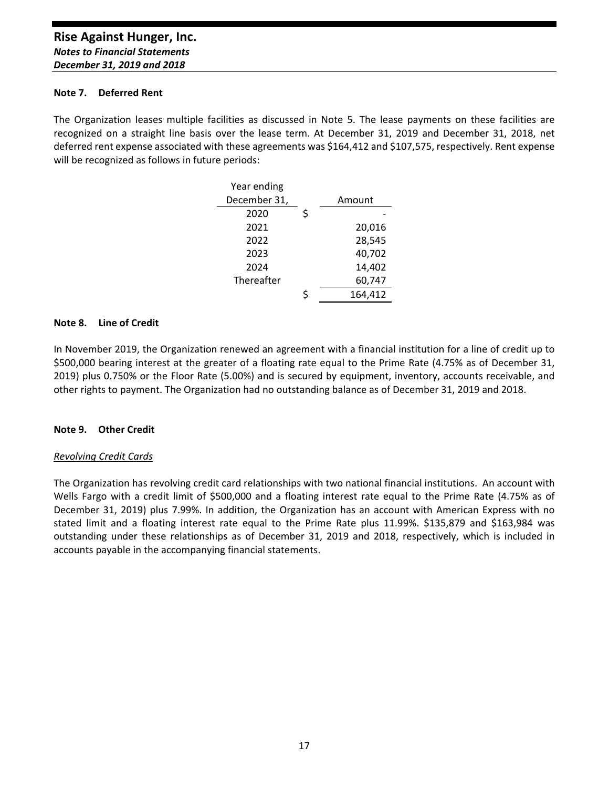#### **Note 7. Deferred Rent**

The Organization leases multiple facilities as discussed in Note 5. The lease payments on these facilities are recognized on a straight line basis over the lease term. At December 31, 2019 and December 31, 2018, net deferred rent expense associated with these agreements was \$164,412 and \$107,575, respectively. Rent expense will be recognized as follows in future periods:

| Year ending  |   |         |
|--------------|---|---------|
| December 31, |   | Amount  |
| 2020         | Ś |         |
| 2021         |   | 20,016  |
| 2022         |   | 28,545  |
| 2023         |   | 40,702  |
| 2024         |   | 14,402  |
| Thereafter   |   | 60,747  |
|              | Ś | 164,412 |
|              |   |         |

#### **Note 8. Line of Credit**

In November 2019, the Organization renewed an agreement with a financial institution for a line of credit up to \$500,000 bearing interest at the greater of a floating rate equal to the Prime Rate (4.75% as of December 31, 2019) plus 0.750% or the Floor Rate (5.00%) and is secured by equipment, inventory, accounts receivable, and other rights to payment. The Organization had no outstanding balance as of December 31, 2019 and 2018.

#### **Note 9. Other Credit**

#### *Revolving Credit Cards*

The Organization has revolving credit card relationships with two national financial institutions. An account with Wells Fargo with a credit limit of \$500,000 and a floating interest rate equal to the Prime Rate (4.75% as of December 31, 2019) plus 7.99%. In addition, the Organization has an account with American Express with no stated limit and a floating interest rate equal to the Prime Rate plus 11.99%. \$135,879 and \$163,984 was outstanding under these relationships as of December 31, 2019 and 2018, respectively, which is included in accounts payable in the accompanying financial statements.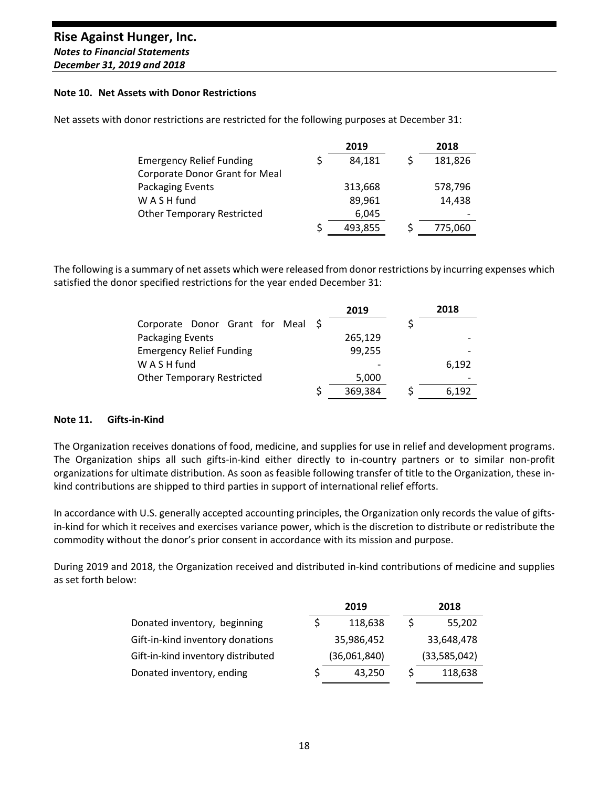#### **Note 10. Net Assets with Donor Restrictions**

Net assets with donor restrictions are restricted for the following purposes at December 31:

|                                   | 2019    | 2018    |
|-----------------------------------|---------|---------|
| <b>Emergency Relief Funding</b>   | 84,181  | 181,826 |
| Corporate Donor Grant for Meal    |         |         |
| Packaging Events                  | 313,668 | 578,796 |
| W A S H fund                      | 89,961  | 14,438  |
| <b>Other Temporary Restricted</b> | 6,045   |         |
|                                   | 493,855 | 775,060 |

The following is a summary of net assets which were released from donor restrictions by incurring expenses which satisfied the donor specified restrictions for the year ended December 31:

|                                   | 2019    | 2018  |
|-----------------------------------|---------|-------|
| Corporate Donor Grant for Meal \$ |         |       |
| Packaging Events                  | 265,129 |       |
| <b>Emergency Relief Funding</b>   | 99,255  |       |
| W A S H fund                      |         | 6,192 |
| <b>Other Temporary Restricted</b> | 5,000   |       |
|                                   | 369,384 | 6.192 |

#### **Note 11. Gifts‐in‐Kind**

The Organization receives donations of food, medicine, and supplies for use in relief and development programs. The Organization ships all such gifts-in-kind either directly to in-country partners or to similar non-profit organizations for ultimate distribution. As soon as feasible following transfer of title to the Organization, these in‐ kind contributions are shipped to third parties in support of international relief efforts.

In accordance with U.S. generally accepted accounting principles, the Organization only records the value of giftsin-kind for which it receives and exercises variance power, which is the discretion to distribute or redistribute the commodity without the donor's prior consent in accordance with its mission and purpose.

During 2019 and 2018, the Organization received and distributed in‐kind contributions of medicine and supplies as set forth below:

|                                    | 2019         | 2018         |
|------------------------------------|--------------|--------------|
| Donated inventory, beginning       | 118,638      | \$<br>55,202 |
| Gift-in-kind inventory donations   | 35,986,452   | 33,648,478   |
| Gift-in-kind inventory distributed | (36,061,840) | (33,585,042) |
| Donated inventory, ending          | 43,250       | 118,638      |